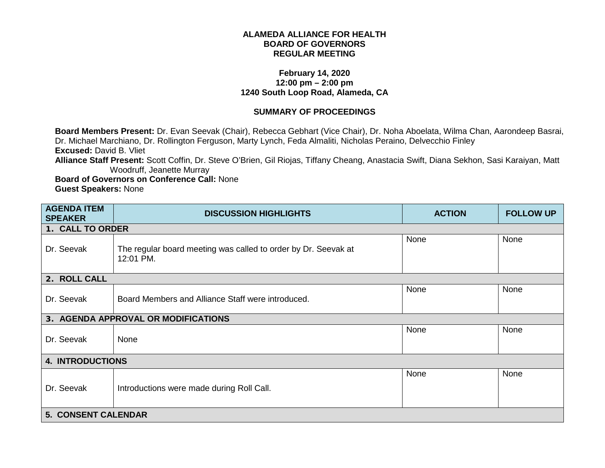## **ALAMEDA ALLIANCE FOR HEALTH BOARD OF GOVERNORS REGULAR MEETING**

## **February 14, 2020 12:00 pm – 2:00 pm 1240 South Loop Road, Alameda, CA**

## **SUMMARY OF PROCEEDINGS**

**Board Members Present:** Dr. Evan Seevak (Chair), Rebecca Gebhart (Vice Chair), Dr. Noha Aboelata, Wilma Chan, Aarondeep Basrai, Dr. Michael Marchiano, Dr. Rollington Ferguson, Marty Lynch, Feda Almaliti, Nicholas Peraino, Delvecchio Finley **Excused:** David B. Vliet **Alliance Staff Present:** Scott Coffin, Dr. Steve O'Brien, Gil Riojas, Tiffany Cheang, Anastacia Swift, Diana Sekhon, Sasi Karaiyan, Matt Woodruff, Jeanette Murray

**Board of Governors on Conference Call:** None **Guest Speakers:** None

| <b>AGENDA ITEM</b><br><b>SPEAKER</b> | <b>DISCUSSION HIGHLIGHTS</b>                                                | <b>ACTION</b> | <b>FOLLOW UP</b> |
|--------------------------------------|-----------------------------------------------------------------------------|---------------|------------------|
| 1. CALL TO ORDER                     |                                                                             |               |                  |
| Dr. Seevak                           | The regular board meeting was called to order by Dr. Seevak at<br>12:01 PM. | None          | None             |
| 2. ROLL CALL                         |                                                                             |               |                  |
| Dr. Seevak                           | Board Members and Alliance Staff were introduced.                           | None          | None             |
|                                      | 3. AGENDA APPROVAL OR MODIFICATIONS                                         |               |                  |
| Dr. Seevak                           | None                                                                        | None          | None             |
| <b>4. INTRODUCTIONS</b>              |                                                                             |               |                  |
| Dr. Seevak                           | Introductions were made during Roll Call.                                   | None          | None             |
| <b>5. CONSENT CALENDAR</b>           |                                                                             |               |                  |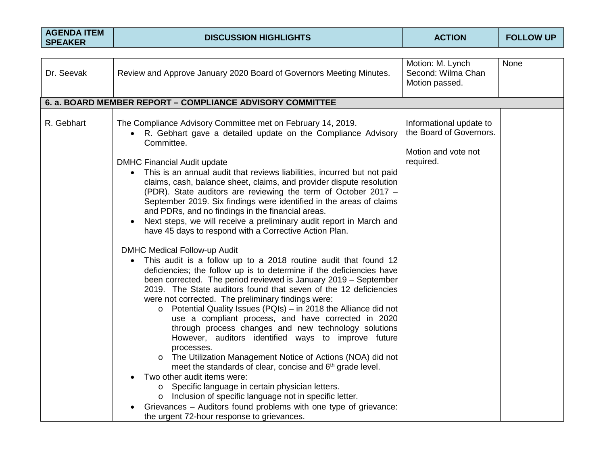| <b>AGENDA ITEM</b><br><b>SPEAKER</b> | <b>DISCUSSION HIGHLIGHTS</b>                                                                                                                                                                                                                                                                                                                                                                                                                                                                                                                                                                                                                                                                                                                                                                                                                                                                                                                                                                                                                                                                                                                                                                                                                                                                                                                                                                                                                                                                                                                                                                                                                                                              | <b>ACTION</b>                                                                          | <b>FOLLOW UP</b> |
|--------------------------------------|-------------------------------------------------------------------------------------------------------------------------------------------------------------------------------------------------------------------------------------------------------------------------------------------------------------------------------------------------------------------------------------------------------------------------------------------------------------------------------------------------------------------------------------------------------------------------------------------------------------------------------------------------------------------------------------------------------------------------------------------------------------------------------------------------------------------------------------------------------------------------------------------------------------------------------------------------------------------------------------------------------------------------------------------------------------------------------------------------------------------------------------------------------------------------------------------------------------------------------------------------------------------------------------------------------------------------------------------------------------------------------------------------------------------------------------------------------------------------------------------------------------------------------------------------------------------------------------------------------------------------------------------------------------------------------------------|----------------------------------------------------------------------------------------|------------------|
|                                      |                                                                                                                                                                                                                                                                                                                                                                                                                                                                                                                                                                                                                                                                                                                                                                                                                                                                                                                                                                                                                                                                                                                                                                                                                                                                                                                                                                                                                                                                                                                                                                                                                                                                                           |                                                                                        |                  |
| Dr. Seevak                           | Review and Approve January 2020 Board of Governors Meeting Minutes.                                                                                                                                                                                                                                                                                                                                                                                                                                                                                                                                                                                                                                                                                                                                                                                                                                                                                                                                                                                                                                                                                                                                                                                                                                                                                                                                                                                                                                                                                                                                                                                                                       | Motion: M. Lynch<br>Second: Wilma Chan<br>Motion passed.                               | None             |
|                                      | 6. a. BOARD MEMBER REPORT - COMPLIANCE ADVISORY COMMITTEE                                                                                                                                                                                                                                                                                                                                                                                                                                                                                                                                                                                                                                                                                                                                                                                                                                                                                                                                                                                                                                                                                                                                                                                                                                                                                                                                                                                                                                                                                                                                                                                                                                 |                                                                                        |                  |
| R. Gebhart                           | The Compliance Advisory Committee met on February 14, 2019.<br>• R. Gebhart gave a detailed update on the Compliance Advisory<br>Committee.<br><b>DMHC Financial Audit update</b><br>This is an annual audit that reviews liabilities, incurred but not paid<br>claims, cash, balance sheet, claims, and provider dispute resolution<br>(PDR). State auditors are reviewing the term of October 2017 -<br>September 2019. Six findings were identified in the areas of claims<br>and PDRs, and no findings in the financial areas.<br>Next steps, we will receive a preliminary audit report in March and<br>have 45 days to respond with a Corrective Action Plan.<br><b>DMHC Medical Follow-up Audit</b><br>This audit is a follow up to a 2018 routine audit that found 12<br>deficiencies; the follow up is to determine if the deficiencies have<br>been corrected. The period reviewed is January 2019 - September<br>2019. The State auditors found that seven of the 12 deficiencies<br>were not corrected. The preliminary findings were:<br>$\circ$ Potential Quality Issues (PQIs) – in 2018 the Alliance did not<br>use a compliant process, and have corrected in 2020<br>through process changes and new technology solutions<br>However, auditors identified ways to improve future<br>processes.<br>The Utilization Management Notice of Actions (NOA) did not<br>$\circ$<br>meet the standards of clear, concise and 6 <sup>th</sup> grade level.<br>Two other audit items were:<br>Specific language in certain physician letters.<br>O<br>o Inclusion of specific language not in specific letter.<br>Grievances - Auditors found problems with one type of grievance: | Informational update to<br>the Board of Governors.<br>Motion and vote not<br>required. |                  |
|                                      | the urgent 72-hour response to grievances.                                                                                                                                                                                                                                                                                                                                                                                                                                                                                                                                                                                                                                                                                                                                                                                                                                                                                                                                                                                                                                                                                                                                                                                                                                                                                                                                                                                                                                                                                                                                                                                                                                                |                                                                                        |                  |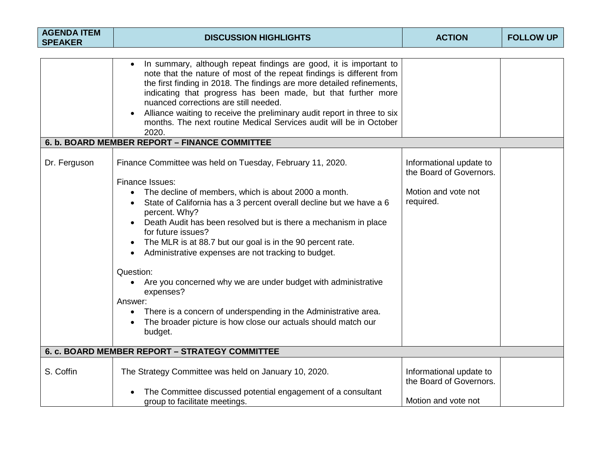| <b>DISCUSSION HIGHLIGHTS</b>                                                                                                                                                                                                                                                                                                                                                                                                                                                                                                                                                                                                                                                                                                                                                                                                                                                                                                                                                                                                                                                                                                                                                                                             | <b>ACTION</b>                                                                                                                               | <b>FOLLOW UP</b>    |
|--------------------------------------------------------------------------------------------------------------------------------------------------------------------------------------------------------------------------------------------------------------------------------------------------------------------------------------------------------------------------------------------------------------------------------------------------------------------------------------------------------------------------------------------------------------------------------------------------------------------------------------------------------------------------------------------------------------------------------------------------------------------------------------------------------------------------------------------------------------------------------------------------------------------------------------------------------------------------------------------------------------------------------------------------------------------------------------------------------------------------------------------------------------------------------------------------------------------------|---------------------------------------------------------------------------------------------------------------------------------------------|---------------------|
| In summary, although repeat findings are good, it is important to<br>note that the nature of most of the repeat findings is different from<br>the first finding in 2018. The findings are more detailed refinements,<br>indicating that progress has been made, but that further more<br>nuanced corrections are still needed.<br>Alliance waiting to receive the preliminary audit report in three to six<br>months. The next routine Medical Services audit will be in October<br>2020.<br>Finance Committee was held on Tuesday, February 11, 2020.<br>Finance Issues:<br>The decline of members, which is about 2000 a month.<br>State of California has a 3 percent overall decline but we have a 6<br>percent. Why?<br>Death Audit has been resolved but is there a mechanism in place<br>for future issues?<br>The MLR is at 88.7 but our goal is in the 90 percent rate.<br>$\bullet$<br>Administrative expenses are not tracking to budget.<br>$\bullet$<br>Question:<br>Are you concerned why we are under budget with administrative<br>expenses?<br>Answer:<br>There is a concern of underspending in the Administrative area.<br>$\bullet$<br>The broader picture is how close our actuals should match our | Informational update to<br>the Board of Governors.<br>Motion and vote not<br>required.                                                      |                     |
|                                                                                                                                                                                                                                                                                                                                                                                                                                                                                                                                                                                                                                                                                                                                                                                                                                                                                                                                                                                                                                                                                                                                                                                                                          |                                                                                                                                             |                     |
| The Strategy Committee was held on January 10, 2020.<br>The Committee discussed potential engagement of a consultant                                                                                                                                                                                                                                                                                                                                                                                                                                                                                                                                                                                                                                                                                                                                                                                                                                                                                                                                                                                                                                                                                                     | Informational update to<br>the Board of Governors.                                                                                          |                     |
|                                                                                                                                                                                                                                                                                                                                                                                                                                                                                                                                                                                                                                                                                                                                                                                                                                                                                                                                                                                                                                                                                                                                                                                                                          | 6. b. BOARD MEMBER REPORT - FINANCE COMMITTEE<br>budget.<br>6. c. BOARD MEMBER REPORT - STRATEGY COMMITTEE<br>group to facilitate meetings. | Motion and vote not |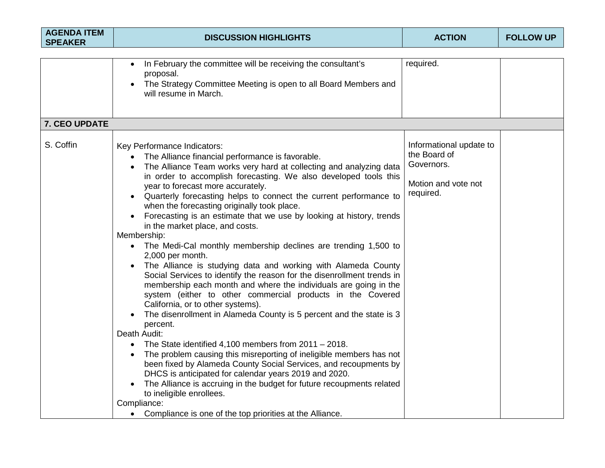| <b>AGENDA ITEM</b><br><b>SPEAKER</b> | <b>DISCUSSION HIGHLIGHTS</b>                                                                                                                                                                                                                                                                                                                                                                                                                                                                                                                                                                                                                                                                                                                                                                                                                                                                                                                                                                                                                                                                                                                                                                                                                                                                                                                                                                                                                                                                       | <b>ACTION</b>                                                                             | <b>FOLLOW UP</b> |
|--------------------------------------|----------------------------------------------------------------------------------------------------------------------------------------------------------------------------------------------------------------------------------------------------------------------------------------------------------------------------------------------------------------------------------------------------------------------------------------------------------------------------------------------------------------------------------------------------------------------------------------------------------------------------------------------------------------------------------------------------------------------------------------------------------------------------------------------------------------------------------------------------------------------------------------------------------------------------------------------------------------------------------------------------------------------------------------------------------------------------------------------------------------------------------------------------------------------------------------------------------------------------------------------------------------------------------------------------------------------------------------------------------------------------------------------------------------------------------------------------------------------------------------------------|-------------------------------------------------------------------------------------------|------------------|
|                                      |                                                                                                                                                                                                                                                                                                                                                                                                                                                                                                                                                                                                                                                                                                                                                                                                                                                                                                                                                                                                                                                                                                                                                                                                                                                                                                                                                                                                                                                                                                    |                                                                                           |                  |
|                                      | In February the committee will be receiving the consultant's<br>proposal.<br>The Strategy Committee Meeting is open to all Board Members and<br>will resume in March.                                                                                                                                                                                                                                                                                                                                                                                                                                                                                                                                                                                                                                                                                                                                                                                                                                                                                                                                                                                                                                                                                                                                                                                                                                                                                                                              | required.                                                                                 |                  |
| 7. CEO UPDATE                        |                                                                                                                                                                                                                                                                                                                                                                                                                                                                                                                                                                                                                                                                                                                                                                                                                                                                                                                                                                                                                                                                                                                                                                                                                                                                                                                                                                                                                                                                                                    |                                                                                           |                  |
| S. Coffin                            | Key Performance Indicators:<br>The Alliance financial performance is favorable.<br>The Alliance Team works very hard at collecting and analyzing data<br>in order to accomplish forecasting. We also developed tools this<br>year to forecast more accurately.<br>Quarterly forecasting helps to connect the current performance to<br>when the forecasting originally took place.<br>Forecasting is an estimate that we use by looking at history, trends<br>in the market place, and costs.<br>Membership:<br>• The Medi-Cal monthly membership declines are trending 1,500 to<br>2,000 per month.<br>The Alliance is studying data and working with Alameda County<br>$\bullet$<br>Social Services to identify the reason for the disenrollment trends in<br>membership each month and where the individuals are going in the<br>system (either to other commercial products in the Covered<br>California, or to other systems).<br>The disenrollment in Alameda County is 5 percent and the state is 3<br>percent.<br>Death Audit:<br>The State identified 4,100 members from $2011 - 2018$ .<br>The problem causing this misreporting of ineligible members has not<br>been fixed by Alameda County Social Services, and recoupments by<br>DHCS is anticipated for calendar years 2019 and 2020.<br>The Alliance is accruing in the budget for future recoupments related<br>to ineligible enrollees.<br>Compliance:<br>Compliance is one of the top priorities at the Alliance.<br>$\bullet$ | Informational update to<br>the Board of<br>Governors.<br>Motion and vote not<br>required. |                  |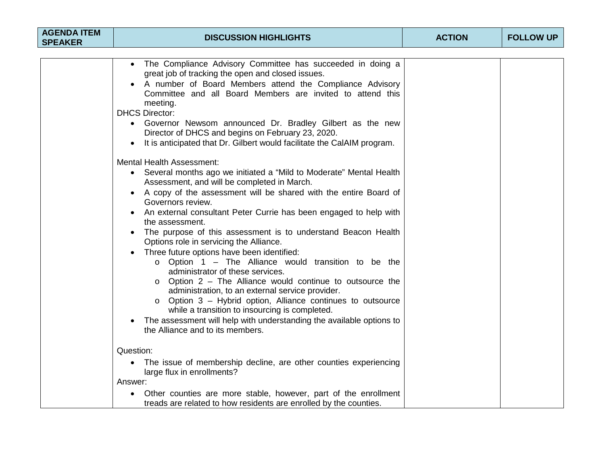| <b>AGENDA ITEM</b><br><b>SPEAKER</b> | <b>DISCUSSION HIGHLIGHTS</b>                                                                                                                                                                                                                                                                                                                                                                                                                                                                                                                                                                                                                                                                                                                                                                                                                                                                                                                                                   | <b>ACTION</b> | <b>FOLLOW UP</b> |
|--------------------------------------|--------------------------------------------------------------------------------------------------------------------------------------------------------------------------------------------------------------------------------------------------------------------------------------------------------------------------------------------------------------------------------------------------------------------------------------------------------------------------------------------------------------------------------------------------------------------------------------------------------------------------------------------------------------------------------------------------------------------------------------------------------------------------------------------------------------------------------------------------------------------------------------------------------------------------------------------------------------------------------|---------------|------------------|
|                                      |                                                                                                                                                                                                                                                                                                                                                                                                                                                                                                                                                                                                                                                                                                                                                                                                                                                                                                                                                                                |               |                  |
|                                      | The Compliance Advisory Committee has succeeded in doing a<br>great job of tracking the open and closed issues.<br>A number of Board Members attend the Compliance Advisory<br>Committee and all Board Members are invited to attend this<br>meeting.<br><b>DHCS Director:</b><br>• Governor Newsom announced Dr. Bradley Gilbert as the new<br>Director of DHCS and begins on February 23, 2020.<br>It is anticipated that Dr. Gilbert would facilitate the CalAIM program.<br>$\bullet$                                                                                                                                                                                                                                                                                                                                                                                                                                                                                      |               |                  |
|                                      | <b>Mental Health Assessment:</b><br>• Several months ago we initiated a "Mild to Moderate" Mental Health<br>Assessment, and will be completed in March.<br>A copy of the assessment will be shared with the entire Board of<br>Governors review.<br>An external consultant Peter Currie has been engaged to help with<br>the assessment.<br>The purpose of this assessment is to understand Beacon Health<br>Options role in servicing the Alliance.<br>Three future options have been identified:<br>$\circ$ Option 1 – The Alliance would transition to be the<br>administrator of these services.<br>$\circ$ Option 2 – The Alliance would continue to outsource the<br>administration, to an external service provider.<br>Option 3 - Hybrid option, Alliance continues to outsource<br>$\circ$<br>while a transition to insourcing is completed.<br>The assessment will help with understanding the available options to<br>$\bullet$<br>the Alliance and to its members. |               |                  |
|                                      | Question:<br>The issue of membership decline, are other counties experiencing<br>$\bullet$<br>large flux in enrollments?<br>Answer:                                                                                                                                                                                                                                                                                                                                                                                                                                                                                                                                                                                                                                                                                                                                                                                                                                            |               |                  |
|                                      | Other counties are more stable, however, part of the enrollment<br>treads are related to how residents are enrolled by the counties.                                                                                                                                                                                                                                                                                                                                                                                                                                                                                                                                                                                                                                                                                                                                                                                                                                           |               |                  |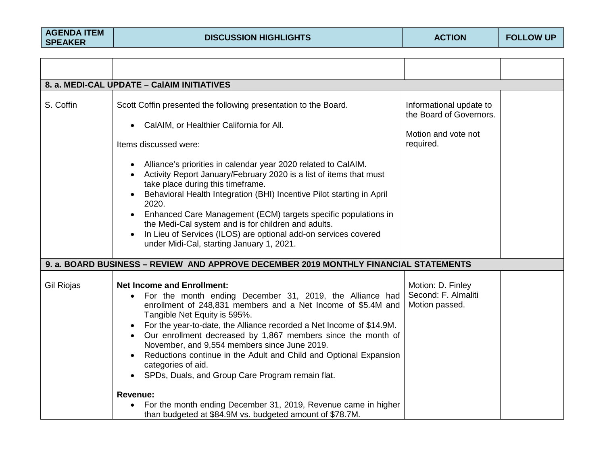|                   | 8. a. MEDI-CAL UPDATE - CaIAIM INITIATIVES                                                                                                                                                                                                                                                                                                                                                                                                                                                                                                                                                                                                                |                                                                                        |  |
|-------------------|-----------------------------------------------------------------------------------------------------------------------------------------------------------------------------------------------------------------------------------------------------------------------------------------------------------------------------------------------------------------------------------------------------------------------------------------------------------------------------------------------------------------------------------------------------------------------------------------------------------------------------------------------------------|----------------------------------------------------------------------------------------|--|
| S. Coffin         | Scott Coffin presented the following presentation to the Board.<br>CalAIM, or Healthier California for All.<br>Items discussed were:<br>Alliance's priorities in calendar year 2020 related to CalAIM.<br>Activity Report January/February 2020 is a list of items that must<br>take place during this timeframe.<br>Behavioral Health Integration (BHI) Incentive Pilot starting in April<br>2020.<br>Enhanced Care Management (ECM) targets specific populations in<br>the Medi-Cal system and is for children and adults.<br>In Lieu of Services (ILOS) are optional add-on services covered<br>$\bullet$<br>under Midi-Cal, starting January 1, 2021. | Informational update to<br>the Board of Governors.<br>Motion and vote not<br>required. |  |
|                   | 9. a. BOARD BUSINESS - REVIEW AND APPROVE DECEMBER 2019 MONTHLY FINANCIAL STATEMENTS                                                                                                                                                                                                                                                                                                                                                                                                                                                                                                                                                                      |                                                                                        |  |
| <b>Gil Riojas</b> | <b>Net Income and Enrollment:</b><br>For the month ending December 31, 2019, the Alliance had<br>$\bullet$<br>enrollment of 248,831 members and a Net Income of \$5.4M and<br>Tangible Net Equity is 595%.<br>For the year-to-date, the Alliance recorded a Net Income of \$14.9M.<br>Our enrollment decreased by 1,867 members since the month of<br>November, and 9,554 members since June 2019.<br>Reductions continue in the Adult and Child and Optional Expansion<br>categories of aid.<br>SPDs, Duals, and Group Care Program remain flat.                                                                                                         | Motion: D. Finley<br>Second: F. Almaliti<br>Motion passed.                             |  |
|                   | Revenue:<br>For the month ending December 31, 2019, Revenue came in higher<br>than budgeted at \$84.9M vs. budgeted amount of \$78.7M.                                                                                                                                                                                                                                                                                                                                                                                                                                                                                                                    |                                                                                        |  |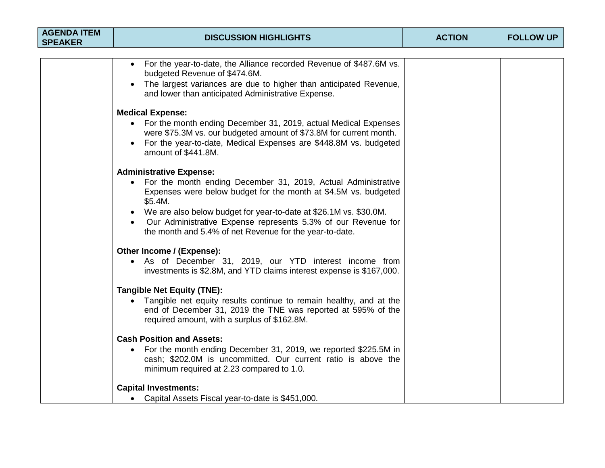| <b>AGENDA ITEM</b><br><b>SPEAKER</b> | <b>DISCUSSION HIGHLIGHTS</b>                                                                                                                                                                                                                                                                                                                                                                    | <b>ACTION</b> | <b>FOLLOW UP</b> |
|--------------------------------------|-------------------------------------------------------------------------------------------------------------------------------------------------------------------------------------------------------------------------------------------------------------------------------------------------------------------------------------------------------------------------------------------------|---------------|------------------|
|                                      | For the year-to-date, the Alliance recorded Revenue of \$487.6M vs.<br>budgeted Revenue of \$474.6M.<br>The largest variances are due to higher than anticipated Revenue,<br>$\bullet$<br>and lower than anticipated Administrative Expense.<br><b>Medical Expense:</b><br>• For the month ending December 31, 2019, actual Medical Expenses                                                    |               |                  |
|                                      | were \$75.3M vs. our budgeted amount of \$73.8M for current month.<br>For the year-to-date, Medical Expenses are \$448.8M vs. budgeted<br>amount of \$441.8M.                                                                                                                                                                                                                                   |               |                  |
|                                      | <b>Administrative Expense:</b><br>• For the month ending December 31, 2019, Actual Administrative<br>Expenses were below budget for the month at \$4.5M vs. budgeted<br>\$5.4M.<br>• We are also below budget for year-to-date at \$26.1M vs. \$30.0M.<br>Our Administrative Expense represents 5.3% of our Revenue for<br>$\bullet$<br>the month and 5.4% of net Revenue for the year-to-date. |               |                  |
|                                      | Other Income / (Expense):<br>• As of December 31, 2019, our YTD interest income from<br>investments is \$2.8M, and YTD claims interest expense is \$167,000.                                                                                                                                                                                                                                    |               |                  |
|                                      | <b>Tangible Net Equity (TNE):</b><br>Tangible net equity results continue to remain healthy, and at the<br>end of December 31, 2019 the TNE was reported at 595% of the<br>required amount, with a surplus of \$162.8M.                                                                                                                                                                         |               |                  |
|                                      | <b>Cash Position and Assets:</b><br>• For the month ending December 31, 2019, we reported \$225.5M in<br>cash; \$202.0M is uncommitted. Our current ratio is above the<br>minimum required at 2.23 compared to 1.0.                                                                                                                                                                             |               |                  |
|                                      | <b>Capital Investments:</b><br>• Capital Assets Fiscal year-to-date is \$451,000.                                                                                                                                                                                                                                                                                                               |               |                  |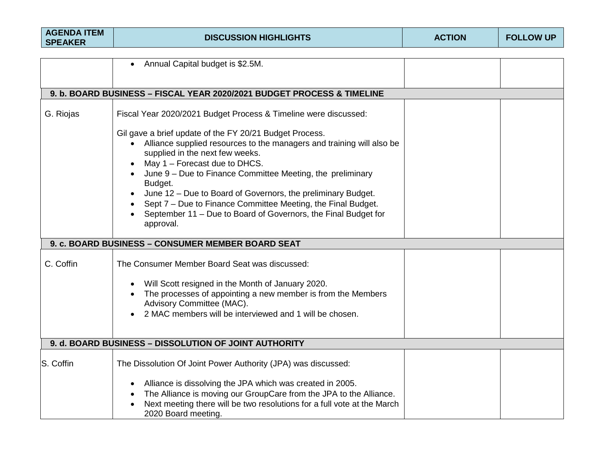| <b>AGENDA ITEM</b><br><b>SPEAKER</b>                  | <b>DISCUSSION HIGHLIGHTS</b>                                                                                                                                                                                                                                                                                                                                                                                                                                                                   | <b>ACTION</b> | <b>FOLLOW UP</b> |  |
|-------------------------------------------------------|------------------------------------------------------------------------------------------------------------------------------------------------------------------------------------------------------------------------------------------------------------------------------------------------------------------------------------------------------------------------------------------------------------------------------------------------------------------------------------------------|---------------|------------------|--|
|                                                       |                                                                                                                                                                                                                                                                                                                                                                                                                                                                                                |               |                  |  |
|                                                       | Annual Capital budget is \$2.5M.                                                                                                                                                                                                                                                                                                                                                                                                                                                               |               |                  |  |
|                                                       |                                                                                                                                                                                                                                                                                                                                                                                                                                                                                                |               |                  |  |
|                                                       | 9. b. BOARD BUSINESS - FISCAL YEAR 2020/2021 BUDGET PROCESS & TIMELINE                                                                                                                                                                                                                                                                                                                                                                                                                         |               |                  |  |
| G. Riojas                                             | Fiscal Year 2020/2021 Budget Process & Timeline were discussed:                                                                                                                                                                                                                                                                                                                                                                                                                                |               |                  |  |
|                                                       | Gil gave a brief update of the FY 20/21 Budget Process.<br>• Alliance supplied resources to the managers and training will also be<br>supplied in the next few weeks.<br>May 1 - Forecast due to DHCS.<br>June 9 - Due to Finance Committee Meeting, the preliminary<br>Budget.<br>June 12 – Due to Board of Governors, the preliminary Budget.<br>Sept 7 - Due to Finance Committee Meeting, the Final Budget.<br>September 11 - Due to Board of Governors, the Final Budget for<br>approval. |               |                  |  |
|                                                       | 9. c. BOARD BUSINESS - CONSUMER MEMBER BOARD SEAT                                                                                                                                                                                                                                                                                                                                                                                                                                              |               |                  |  |
| C. Coffin                                             | The Consumer Member Board Seat was discussed:<br>Will Scott resigned in the Month of January 2020.<br>The processes of appointing a new member is from the Members<br>Advisory Committee (MAC).<br>2 MAC members will be interviewed and 1 will be chosen.                                                                                                                                                                                                                                     |               |                  |  |
| 9. d. BOARD BUSINESS - DISSOLUTION OF JOINT AUTHORITY |                                                                                                                                                                                                                                                                                                                                                                                                                                                                                                |               |                  |  |
| S. Coffin                                             | The Dissolution Of Joint Power Authority (JPA) was discussed:<br>Alliance is dissolving the JPA which was created in 2005.<br>$\bullet$<br>The Alliance is moving our GroupCare from the JPA to the Alliance.<br>Next meeting there will be two resolutions for a full vote at the March                                                                                                                                                                                                       |               |                  |  |
|                                                       | 2020 Board meeting.                                                                                                                                                                                                                                                                                                                                                                                                                                                                            |               |                  |  |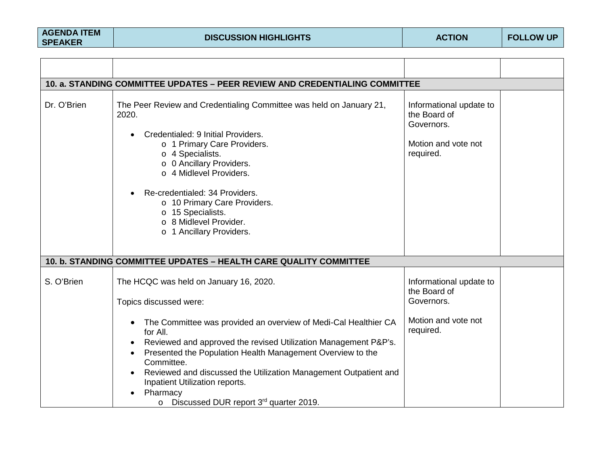| 10. a. STANDING COMMITTEE UPDATES - PEER REVIEW AND CREDENTIALING COMMITTEE |                                                                                                                                                                                                                                                                                                                                                                                                       |                                                                                           |  |  |
|-----------------------------------------------------------------------------|-------------------------------------------------------------------------------------------------------------------------------------------------------------------------------------------------------------------------------------------------------------------------------------------------------------------------------------------------------------------------------------------------------|-------------------------------------------------------------------------------------------|--|--|
| Dr. O'Brien                                                                 | The Peer Review and Credentialing Committee was held on January 21,<br>2020.<br>Credentialed: 9 Initial Providers.<br>$\bullet$<br>o 1 Primary Care Providers.<br>$\circ$ 4 Specialists.<br>o 0 Ancillary Providers.<br>o 4 Midlevel Providers.<br>Re-credentialed: 34 Providers.<br>o 10 Primary Care Providers.<br>o 15 Specialists.<br>o 8 Midlevel Provider.<br>o 1 Ancillary Providers.          | Informational update to<br>the Board of<br>Governors.<br>Motion and vote not<br>required. |  |  |
|                                                                             | 10. b. STANDING COMMITTEE UPDATES - HEALTH CARE QUALITY COMMITTEE                                                                                                                                                                                                                                                                                                                                     |                                                                                           |  |  |
| S. O'Brien                                                                  | The HCQC was held on January 16, 2020.<br>Topics discussed were:                                                                                                                                                                                                                                                                                                                                      | Informational update to<br>the Board of<br>Governors.                                     |  |  |
|                                                                             | The Committee was provided an overview of Medi-Cal Healthier CA<br>$\bullet$<br>for All.<br>Reviewed and approved the revised Utilization Management P&P's.<br>Presented the Population Health Management Overview to the<br>Committee.<br>Reviewed and discussed the Utilization Management Outpatient and<br>Inpatient Utilization reports.<br>Pharmacy<br>o Discussed DUR report 3rd quarter 2019. | Motion and vote not<br>required.                                                          |  |  |